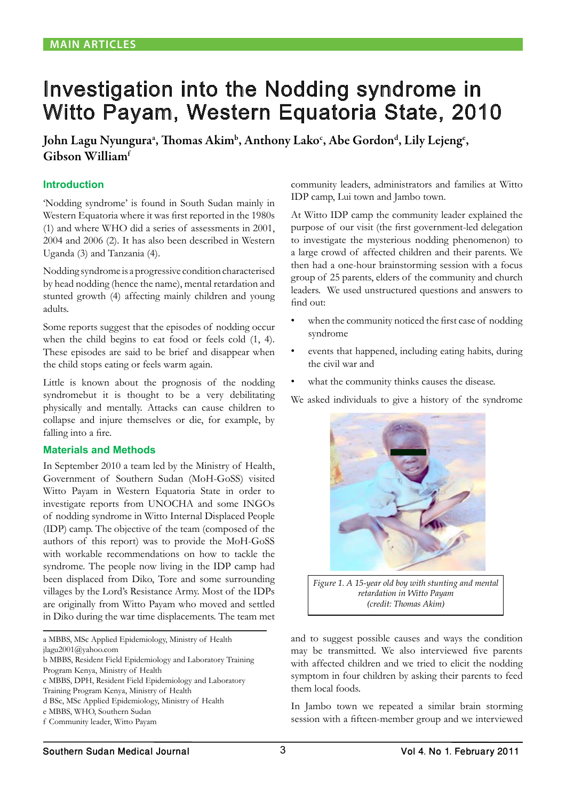# Investigation into the Nodding syndrome in Witto Payam, Western Equatoria State, 2010

John Lagu Nyunguraª, Thomas Akim<sup>ь</sup>, Anthony Lakoʻ, Abe Gordon<sup>d</sup>, Lily Lejengʻ, Gibson Williamf

### **Introduction**

'Nodding syndrome' is found in South Sudan mainly in Western Equatoria where it was first reported in the 1980s (1) and where WHO did a series of assessments in 2001, 2004 and 2006 (2). It has also been described in Western Uganda (3) and Tanzania (4).

Nodding syndrome is a progressive condition characterised by head nodding (hence the name), mental retardation and stunted growth (4) affecting mainly children and young adults.

Some reports suggest that the episodes of nodding occur when the child begins to eat food or feels cold (1, 4). These episodes are said to be brief and disappear when the child stops eating or feels warm again.

Little is known about the prognosis of the nodding syndromebut it is thought to be a very debilitating physically and mentally. Attacks can cause children to collapse and injure themselves or die, for example, by falling into a fire.

#### **Materials and Methods**

In September 2010 a team led by the Ministry of Health, Government of Southern Sudan (MoH-GoSS) visited Witto Payam in Western Equatoria State in order to investigate reports from UNOCHA and some INGOs of nodding syndrome in Witto Internal Displaced People (IDP) camp. The objective of the team (composed of the authors of this report) was to provide the MoH-GoSS with workable recommendations on how to tackle the syndrome. The people now living in the IDP camp had been displaced from Diko, Tore and some surrounding villages by the Lord's Resistance Army. Most of the IDPs are originally from Witto Payam who moved and settled in Diko during the war time displacements. The team met

a MBBS, MSc Applied Epidemiology, Ministry of Health

jlagu2001@yahoo.com

community leaders, administrators and families at Witto IDP camp, Lui town and Jambo town.

At Witto IDP camp the community leader explained the purpose of our visit (the first government-led delegation to investigate the mysterious nodding phenomenon) to a large crowd of affected children and their parents. We then had a one-hour brainstorming session with a focus group of 25 parents, elders of the community and church leaders. We used unstructured questions and answers to find out:

- when the community noticed the first case of nodding syndrome
- events that happened, including eating habits, during the civil war and
- what the community thinks causes the disease.

We asked individuals to give a history of the syndrome



*Figure 1. A 15-year old boy with stunting and mental retardation in Witto Payam (credit: Thomas Akim)*

and to suggest possible causes and ways the condition may be transmitted. We also interviewed five parents with affected children and we tried to elicit the nodding symptom in four children by asking their parents to feed them local foods.

In Jambo town we repeated a similar brain storming session with a fifteen-member group and we interviewed

b MBBS, Resident Field Epidemiology and Laboratory Training

Program Kenya, Ministry of Health

c MBBS, DPH, Resident Field Epidemiology and Laboratory

Training Program Kenya, Ministry of Health

d BSc, MSc Applied Epidemiology, Ministry of Health

e MBBS, WHO, Southern Sudan

f Community leader, Witto Payam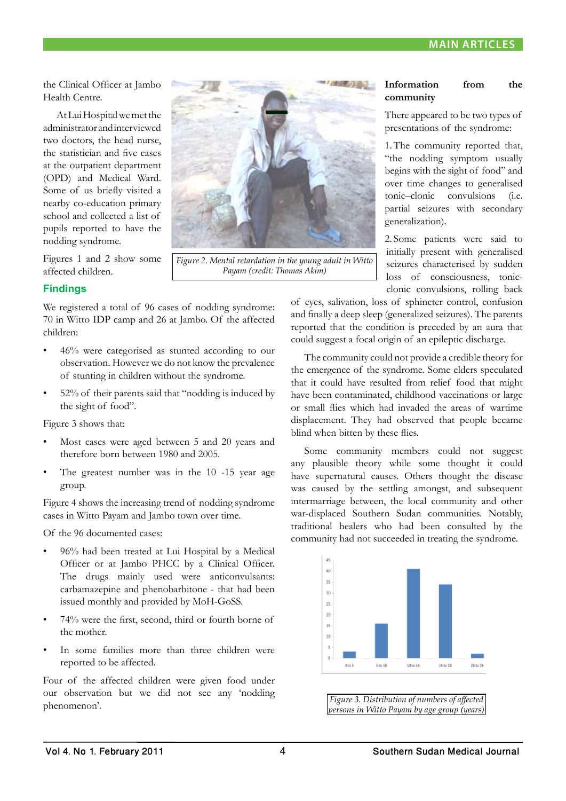the Clinical Officer at Jambo Health Centre.

At Lui Hospital we met the administrator and interviewed two doctors, the head nurse, the statistician and five cases at the outpatient department (OPD) and Medical Ward. Some of us briefly visited a nearby co-education primary school and collected a list of pupils reported to have the nodding syndrome.

Figures 1 and 2 show some affected children.

# **Findings**

We registered a total of 96 cases of nodding syndrome: 70 in Witto IDP camp and 26 at Jambo. Of the affected children:

- 46% were categorised as stunted according to our observation. However we do not know the prevalence of stunting in children without the syndrome.
- 52% of their parents said that "nodding is induced by the sight of food".

Figure 3 shows that:

- Most cases were aged between 5 and 20 years and therefore born between 1980 and 2005.
- The greatest number was in the 10 -15 year age group.

Figure 4 shows the increasing trend of nodding syndrome cases in Witto Payam and Jambo town over time.

Of the 96 documented cases:

- 96% had been treated at Lui Hospital by a Medical Officer or at Jambo PHCC by a Clinical Officer. The drugs mainly used were anticonvulsants: carbamazepine and phenobarbitone - that had been issued monthly and provided by MoH-GoSS.
- 74% were the first, second, third or fourth borne of the mother.
- In some families more than three children were reported to be affected.

Four of the affected children were given food under our observation but we did not see any 'nodding phenomenon'.



*Figure 2. Mental retardation in the young adult in Witto Payam (credit: Thomas Akim)*

### **Information from the community**

There appeared to be two types of presentations of the syndrome:

1.The community reported that, "the nodding symptom usually begins with the sight of food" and over time changes to generalised tonic–clonic convulsions (i.e. partial seizures with secondary generalization).

2. Some patients were said to initially present with generalised seizures characterised by sudden loss of consciousness, tonicclonic convulsions, rolling back

of eyes, salivation, loss of sphincter control, confusion and finally a deep sleep (generalized seizures). The parents reported that the condition is preceded by an aura that could suggest a focal origin of an epileptic discharge.

The community could not provide a credible theory for the emergence of the syndrome. Some elders speculated that it could have resulted from relief food that might have been contaminated, childhood vaccinations or large or small flies which had invaded the areas of wartime displacement. They had observed that people became blind when bitten by these flies.

Some community members could not suggest any plausible theory while some thought it could have supernatural causes. Others thought the disease was caused by the settling amongst, and subsequent intermarriage between, the local community and other war-displaced Southern Sudan communities. Notably, traditional healers who had been consulted by the community had not succeeded in treating the syndrome.



*Figure 3. Distribution of numbers of affected persons in Witto Payam by age group (years)*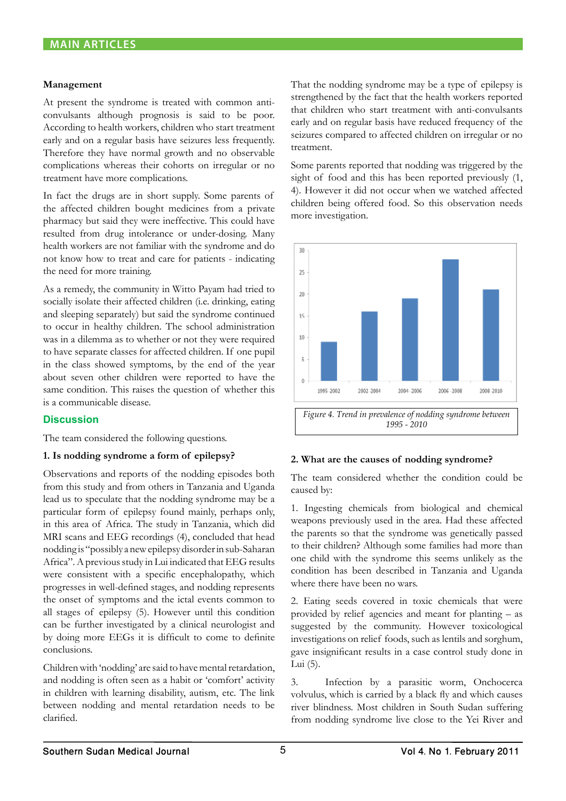#### **Management**

At present the syndrome is treated with common anticonvulsants although prognosis is said to be poor. According to health workers, children who start treatment early and on a regular basis have seizures less frequently. Therefore they have normal growth and no observable complications whereas their cohorts on irregular or no treatment have more complications.

In fact the drugs are in short supply. Some parents of the affected children bought medicines from a private pharmacy but said they were ineffective. This could have resulted from drug intolerance or under-dosing. Many health workers are not familiar with the syndrome and do not know how to treat and care for patients - indicating the need for more training.

As a remedy, the community in Witto Payam had tried to socially isolate their affected children (i.e. drinking, eating and sleeping separately) but said the syndrome continued to occur in healthy children. The school administration was in a dilemma as to whether or not they were required to have separate classes for affected children. If one pupil in the class showed symptoms, by the end of the year about seven other children were reported to have the same condition. This raises the question of whether this is a communicable disease.

### **Discussion**

The team considered the following questions.

### **1. Is nodding syndrome a form of epilepsy?**

Observations and reports of the nodding episodes both from this study and from others in Tanzania and Uganda lead us to speculate that the nodding syndrome may be a particular form of epilepsy found mainly, perhaps only, in this area of Africa. The study in Tanzania, which did MRI scans and EEG recordings (4), concluded that head nodding is "possibly a new epilepsy disorder in sub-Saharan Africa". A previous study in Lui indicated that EEG results were consistent with a specific encephalopathy, which progresses in well-defined stages, and nodding represents the onset of symptoms and the ictal events common to all stages of epilepsy (5). However until this condition can be further investigated by a clinical neurologist and by doing more EEGs it is difficult to come to definite conclusions.

Children with 'nodding' are said to have mental retardation, and nodding is often seen as a habit or 'comfort' activity in children with learning disability, autism, etc. The link between nodding and mental retardation needs to be clarified.

That the nodding syndrome may be a type of epilepsy is strengthened by the fact that the health workers reported that children who start treatment with anti-convulsants early and on regular basis have reduced frequency of the seizures compared to affected children on irregular or no treatment.

Some parents reported that nodding was triggered by the sight of food and this has been reported previously  $(1, 1)$ 4). However it did not occur when we watched affected children being offered food. So this observation needs more investigation.



### **2. What are the causes of nodding syndrome?**

The team considered whether the condition could be caused by:

1. Ingesting chemicals from biological and chemical weapons previously used in the area. Had these affected the parents so that the syndrome was genetically passed to their children? Although some families had more than one child with the syndrome this seems unlikely as the condition has been described in Tanzania and Uganda where there have been no wars.

2. Eating seeds covered in toxic chemicals that were provided by relief agencies and meant for planting – as suggested by the community. However toxicological investigations on relief foods, such as lentils and sorghum, gave insignificant results in a case control study done in Lui (5).

3. Infection by a parasitic worm, Onchocerca volvulus, which is carried by a black fly and which causes river blindness. Most children in South Sudan suffering from nodding syndrome live close to the Yei River and